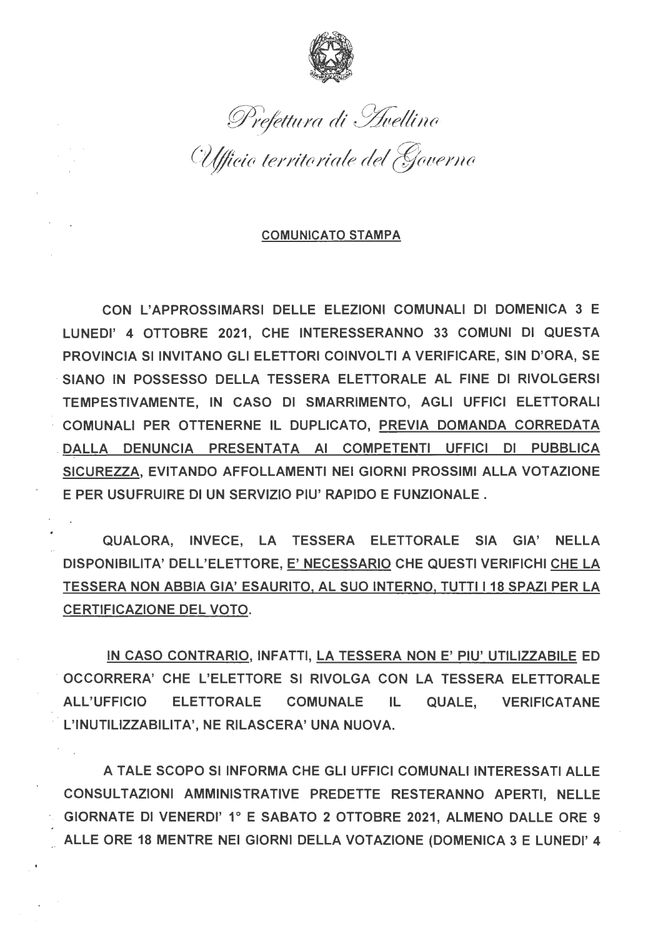

Prefettura di Avellino<br>Ulficio territoriale del Governo

## **COMUNICATO STAMPA**

CON L'APPROSSIMARSI DELLE ELEZIONI COMUNALI DI DOMENICA 3 E LUNEDI' 4 OTTOBRE 2021, CHE INTERESSERANNO 33 COMUNI DI QUESTA PROVINCIA SI INVITANO GLI ELETTORI COINVOLTI A VERIFICARE, SIN D'ORA, SE SIANO IN POSSESSO DELLA TESSERA ELETTORALE AL FINE DI RIVOLGERSI TEMPESTIVAMENTE. IN CASO DI SMARRIMENTO, AGLI UFFICI ELETTORALI COMUNALI PER OTTENERNE IL DUPLICATO, PREVIA DOMANDA CORREDATA DALLA DENUNCIA PRESENTATA AI COMPETENTI UFFICI DI PUBBLICA SICUREZZA, EVITANDO AFFOLLAMENTI NEI GIORNI PROSSIMI ALLA VOTAZIONE E PER USUFRUIRE DI UN SERVIZIO PIU' RAPIDO E FUNZIONALE.

QUALORA. INVECE. LA TESSERA ELETTORALE SIA GIA' NELLA DISPONIBILITA' DELL'ELETTORE, E' NECESSARIO CHE QUESTI VERIFICHI CHE LA TESSERA NON ABBIA GIA' ESAURITO, AL SUO INTERNO, TUTTI I 18 SPAZI PER LA **CERTIFICAZIONE DEL VOTO.** 

IN CASO CONTRARIO, INFATTI, LA TESSERA NON E' PIU' UTILIZZABILE ED OCCORRERA' CHE L'ELETTORE SI RIVOLGA CON LA TESSERA ELETTORALE **ALL'UFFICIO ELETTORALE COMUNALE** IL. **QUALE, VERIFICATANE** L'INUTILIZZABILITA', NE RILASCERA' UNA NUOVA.

A TALE SCOPO SI INFORMA CHE GLI UFFICI COMUNALI INTERESSATI ALLE CONSULTAZIONI AMMINISTRATIVE PREDETTE RESTERANNO APERTI. NELLE GIORNATE DI VENERDI' 1° E SABATO 2 OTTOBRE 2021, ALMENO DALLE ORE 9 ALLE ORE 18 MENTRE NEI GIORNI DELLA VOTAZIONE (DOMENICA 3 E LUNEDI' 4